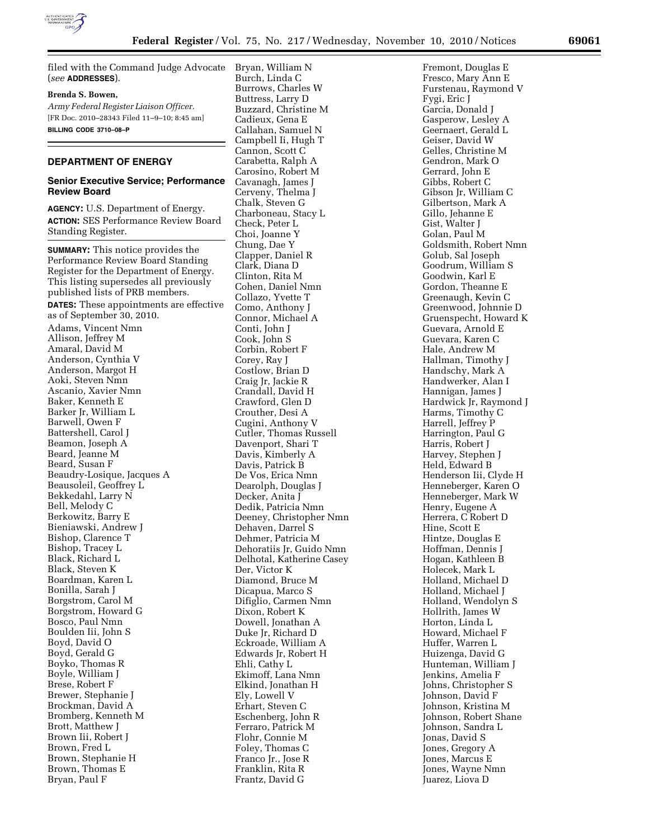

filed with the Command Judge Advocate (*see* **ADDRESSES**).

## **Brenda S. Bowen,**

*Army Federal Register Liaison Officer.*  [FR Doc. 2010–28343 Filed 11–9–10; 8:45 am] **BILLING CODE 3710–08–P** 

## **DEPARTMENT OF ENERGY**

# **Senior Executive Service; Performance Review Board**

**AGENCY:** U.S. Department of Energy. **ACTION:** SES Performance Review Board Standing Register.

**SUMMARY:** This notice provides the Performance Review Board Standing Register for the Department of Energy. This listing supersedes all previously published lists of PRB members. **DATES:** These appointments are effective as of September 30, 2010. Adams, Vincent Nmn Allison, Jeffrey M Amaral, David M Anderson, Cynthia V Anderson, Margot H Aoki, Steven Nmn Ascanio, Xavier Nmn Baker, Kenneth E Barker Jr, William L Barwell, Owen F Battershell, Carol J Beamon, Joseph A Beard, Jeanne M Beard, Susan F Beaudry-Losique, Jacques A Beausoleil, Geoffrey L Bekkedahl, Larry N Bell, Melody C Berkowitz, Barry E Bieniawski, Andrew J Bishop, Clarence T Bishop, Tracey L Black, Richard L Black, Steven K Boardman, Karen L Bonilla, Sarah J Borgstrom, Carol M Borgstrom, Howard G Bosco, Paul Nmn Boulden Iii, John S Boyd, David O Boyd, Gerald G Boyko, Thomas R Boyle, William J Brese, Robert F Brewer, Stephanie J Brockman, David A Bromberg, Kenneth M Brott, Matthew J Brown Iii, Robert J Brown, Fred L Brown, Stephanie H Brown, Thomas E

Bryan, Paul F

Bryan, William N Burch, Linda C Burrows, Charles W Buttress, Larry D Buzzard, Christine M Cadieux, Gena E Callahan, Samuel N Campbell Ii, Hugh T Cannon, Scott C Carabetta, Ralph A Carosino, Robert M Cavanagh, James J Cerveny, Thelma J Chalk, Steven G Charboneau, Stacy L Check, Peter L Choi, Joanne Y Chung, Dae Y Clapper, Daniel R Clark, Diana D Clinton, Rita M Cohen, Daniel Nmn Collazo, Yvette T Como, Anthony J Connor, Michael A Conti, John J Cook, John S Corbin, Robert F Corey, Ray J Costlow, Brian D Craig Jr, Jackie R Crandall, David H Crawford, Glen D Crouther, Desi A Cugini, Anthony V Cutler, Thomas Russell Davenport, Shari T Davis, Kimberly A Davis, Patrick B De Vos, Erica Nmn Dearolph, Douglas J Decker, Anita J Dedik, Patricia Nmn Deeney, Christopher Nmn Dehaven, Darrel S Dehmer, Patricia M Dehoratiis Jr, Guido Nmn Delhotal, Katherine Casey Der, Victor K Diamond, Bruce M Dicapua, Marco S Difiglio, Carmen Nmn Dixon, Robert K Dowell, Jonathan A Duke Jr, Richard D Eckroade, William A Edwards Jr, Robert H Ehli, Cathy L Ekimoff, Lana Nmn Elkind, Jonathan H Ely, Lowell V Erhart, Steven C Eschenberg, John R Ferraro, Patrick M Flohr, Connie M Foley, Thomas C Franco Jr., Jose R Franklin, Rita R

Frantz, David G

Fremont, Douglas E Fresco, Mary Ann E Furstenau, Raymond V Fygi, Eric J Garcia, Donald J Gasperow, Lesley A Geernaert, Gerald L Geiser, David W Gelles, Christine M Gendron, Mark O Gerrard, John E Gibbs, Robert C Gibson Jr, William C Gilbertson, Mark A Gillo, Jehanne E Gist, Walter J Golan, Paul M Goldsmith, Robert Nmn Golub, Sal Joseph Goodrum, William S Goodwin, Karl E Gordon, Theanne E Greenaugh, Kevin C Greenwood, Johnnie D Gruenspecht, Howard K Guevara, Arnold E Guevara, Karen C Hale, Andrew M Hallman, Timothy J Handschy, Mark A Handwerker, Alan I Hannigan, James J Hardwick Jr, Raymond J Harms, Timothy C Harrell, Jeffrey P Harrington, Paul G Harris, Robert J Harvey, Stephen J Held, Edward B Henderson Iii, Clyde H Henneberger, Karen O Henneberger, Mark W Henry, Eugene A Herrera, C Robert D Hine, Scott E Hintze, Douglas E Hoffman, Dennis J Hogan, Kathleen B Holecek, Mark L Holland, Michael D Holland, Michael J Holland, Wendolyn S Hollrith, James W Horton, Linda L Howard, Michael F Huffer, Warren L Huizenga, David G Hunteman, William J Jenkins, Amelia F Johns, Christopher S Johnson, David F Johnson, Kristina M Johnson, Robert Shane Johnson, Sandra L Jonas, David S Jones, Gregory A Jones, Marcus E Jones, Wayne Nmn Juarez, Liova D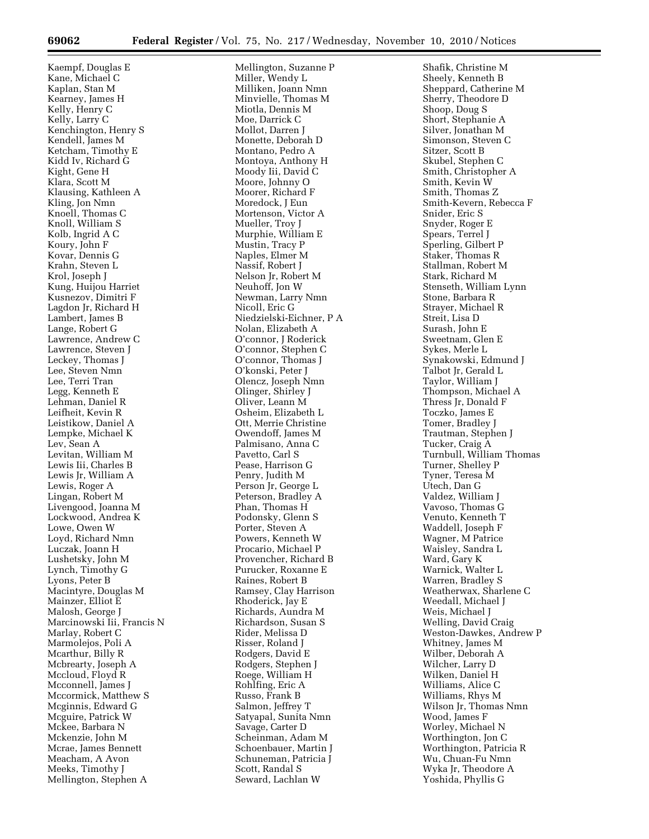Kaempf, Douglas E Kane, Michael C Kaplan, Stan M Kearney, James H Kelly, Henry C Kelly, Larry C Kenchington, Henry S Kendell, James M Ketcham, Timothy E Kidd Iv, Richard G Kight, Gene H Klara, Scott M Klausing, Kathleen A Kling, Jon Nmn Knoell, Thomas C Knoll, William S Kolb, Ingrid A C Koury, John F Kovar, Dennis G Krahn, Steven L Krol, Joseph J Kung, Huijou Harriet Kusnezov, Dimitri F Lagdon Jr, Richard H Lambert, James B Lange, Robert G Lawrence, Andrew C Lawrence, Steven J Leckey, Thomas J Lee, Steven Nmn Lee, Terri Tran Legg, Kenneth E Lehman, Daniel R Leifheit, Kevin R Leistikow, Daniel A Lempke, Michael K Lev, Sean A Levitan, William M Lewis Iii, Charles B Lewis Jr, William A Lewis, Roger A Lingan, Robert M Livengood, Joanna M Lockwood, Andrea K Lowe, Owen W Loyd, Richard Nmn Luczak, Joann H Lushetsky, John M Lynch, Timothy G Lyons, Peter B Macintyre, Douglas M Mainzer, Elliot E Malosh, George J Marcinowski Iii, Francis N Marlay, Robert C Marmolejos, Poli A Mcarthur, Billy R Mcbrearty, Joseph A Mccloud, Floyd R Mcconnell, James J Mccormick, Matthew S Mcginnis, Edward G Mcguire, Patrick W Mckee, Barbara N Mckenzie, John M Mcrae, James Bennett Meacham, A Avon Meeks, Timothy J Mellington, Stephen A

Mellington, Suzanne P Miller, Wendy L Milliken, Joann Nmn Minvielle, Thomas M Miotla, Dennis M Moe, Darrick C Mollot, Darren J Monette, Deborah D Montano, Pedro A Montoya, Anthony H Moody Iii, David C Moore, Johnny O Moorer, Richard F Moredock, J Eun Mortenson, Victor A Mueller, Troy J Murphie, William E Mustin, Tracy P Naples, Elmer M Nassif, Robert J Nelson Jr, Robert M Neuhoff, Jon W Newman, Larry Nmn Nicoll, Eric G Niedzielski-Eichner, P A Nolan, Elizabeth A O'connor, J Roderick O'connor, Stephen C O'connor, Thomas J O'konski, Peter J Olencz, Joseph Nmn Olinger, Shirley J Oliver, Leann M Osheim, Elizabeth L Ott, Merrie Christine Owendoff, James M Palmisano, Anna C Pavetto, Carl S Pease, Harrison G Penry, Judith M Person Jr, George L Peterson, Bradley A Phan, Thomas H Podonsky, Glenn S Porter, Steven A Powers, Kenneth W Procario, Michael P Provencher, Richard B Purucker, Roxanne E Raines, Robert B Ramsey, Clay Harrison Rhoderick, Jay E Richards, Aundra M Richardson, Susan S Rider, Melissa D Risser, Roland J Rodgers, David E Rodgers, Stephen J Roege, William H Rohlfing, Eric A Russo, Frank B Salmon, Jeffrey T Satyapal, Sunita Nmn Savage, Carter D Scheinman, Adam M Schoenbauer, Martin J Schuneman, Patricia J Scott, Randal S Seward, Lachlan W

Shafik, Christine M Sheely, Kenneth B Sheppard, Catherine M Sherry, Theodore D Shoop, Doug S Short, Stephanie A Silver, Jonathan M Simonson, Steven C Sitzer, Scott B Skubel, Stephen C Smith, Christopher A Smith, Kevin W Smith, Thomas Z Smith-Kevern, Rebecca F Snider, Eric S Snyder, Roger E Spears, Terrel J Sperling, Gilbert P Staker, Thomas R Stallman, Robert M Stark, Richard M Stenseth, William Lynn Stone, Barbara R Strayer, Michael R Streit, Lisa D Surash, John E Sweetnam, Glen E Sykes, Merle L Synakowski, Edmund J Talbot Jr, Gerald L Taylor, William J Thompson, Michael A Thress Jr, Donald F Toczko, James E Tomer, Bradley J Trautman, Stephen J Tucker, Craig A Turnbull, William Thomas Turner, Shelley P Tyner, Teresa M Utech, Dan G Valdez, William J Vavoso, Thomas G Venuto, Kenneth T Waddell, Joseph F Wagner, M Patrice Waisley, Sandra L Ward, Gary K Warnick, Walter L Warren, Bradley S Weatherwax, Sharlene C Weedall, Michael J Weis, Michael J Welling, David Craig Weston-Dawkes, Andrew P Whitney, James M Wilber, Deborah A Wilcher, Larry D Wilken, Daniel H Williams, Alice C Williams, Rhys M Wilson Jr, Thomas Nmn Wood, James F Worley, Michael N Worthington, Jon C Worthington, Patricia R Wu, Chuan-Fu Nmn Wyka Jr, Theodore A Yoshida, Phyllis G